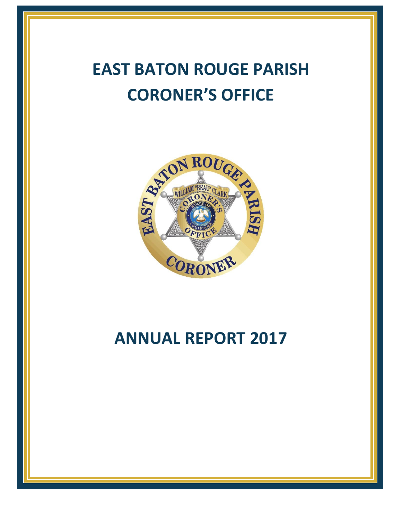# **EAST BATON ROUGE PARISH CORONER'S OFFICE**



# **ANNUAL REPORT 2017**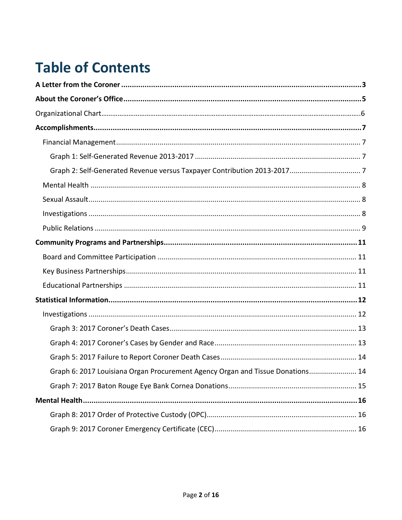# **Table of Contents**

| Graph 6: 2017 Louisiana Organ Procurement Agency Organ and Tissue Donations 14 |  |
|--------------------------------------------------------------------------------|--|
|                                                                                |  |
|                                                                                |  |
|                                                                                |  |
|                                                                                |  |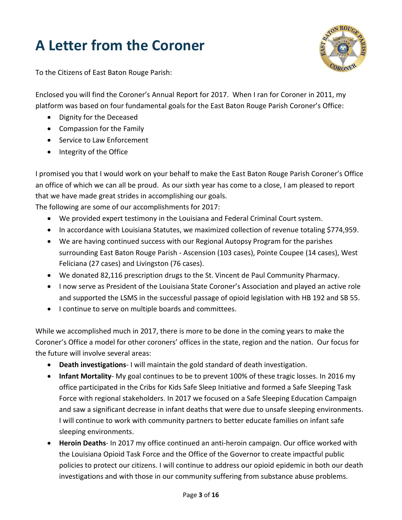# <span id="page-2-0"></span>**A Letter from the Coroner**



To the Citizens of East Baton Rouge Parish:

Enclosed you will find the Coroner's Annual Report for 2017. When I ran for Coroner in 2011, my platform was based on four fundamental goals for the East Baton Rouge Parish Coroner's Office:

- Dignity for the Deceased
- Compassion for the Family
- Service to Law Enforcement
- Integrity of the Office

I promised you that I would work on your behalf to make the East Baton Rouge Parish Coroner's Office an office of which we can all be proud. As our sixth year has come to a close, I am pleased to report that we have made great strides in accomplishing our goals.

The following are some of our accomplishments for 2017:

- We provided expert testimony in the Louisiana and Federal Criminal Court system.
- In accordance with Louisiana Statutes, we maximized collection of revenue totaling \$774,959.
- We are having continued success with our Regional Autopsy Program for the parishes surrounding East Baton Rouge Parish - Ascension (103 cases), Pointe Coupee (14 cases), West Feliciana (27 cases) and Livingston (76 cases).
- We donated 82,116 prescription drugs to the St. Vincent de Paul Community Pharmacy.
- I now serve as President of the Louisiana State Coroner's Association and played an active role and supported the LSMS in the successful passage of opioid legislation with HB 192 and SB 55.
- I continue to serve on multiple boards and committees.

While we accomplished much in 2017, there is more to be done in the coming years to make the Coroner's Office a model for other coroners' offices in the state, region and the nation. Our focus for the future will involve several areas:

- **Death investigations** I will maintain the gold standard of death investigation.
- **Infant Mortality** My goal continues to be to prevent 100% of these tragic losses. In 2016 my office participated in the Cribs for Kids Safe Sleep Initiative and formed a Safe Sleeping Task Force with regional stakeholders. In 2017 we focused on a Safe Sleeping Education Campaign and saw a significant decrease in infant deaths that were due to unsafe sleeping environments. I will continue to work with community partners to better educate families on infant safe sleeping environments.
- **Heroin Deaths** In 2017 my office continued an anti-heroin campaign. Our office worked with the Louisiana Opioid Task Force and the Office of the Governor to create impactful public policies to protect our citizens. I will continue to address our opioid epidemic in both our death investigations and with those in our community suffering from substance abuse problems.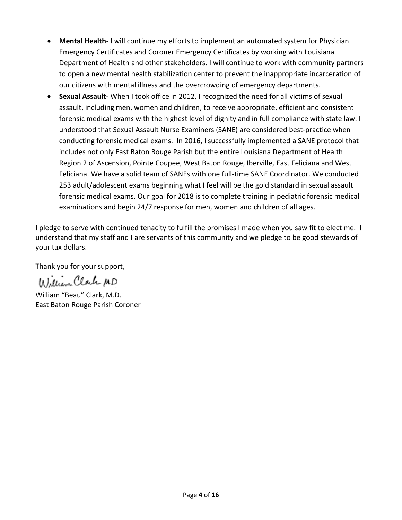- **Mental Health** I will continue my efforts to implement an automated system for Physician Emergency Certificates and Coroner Emergency Certificates by working with Louisiana Department of Health and other stakeholders. I will continue to work with community partners to open a new mental health stabilization center to prevent the inappropriate incarceration of our citizens with mental illness and the overcrowding of emergency departments.
- **Sexual Assault** When I took office in 2012, I recognized the need for all victims of sexual assault, including men, women and children, to receive appropriate, efficient and consistent forensic medical exams with the highest level of dignity and in full compliance with state law. I understood that Sexual Assault Nurse Examiners (SANE) are considered best-practice when conducting forensic medical exams. In 2016, I successfully implemented a SANE protocol that includes not only East Baton Rouge Parish but the entire Louisiana Department of Health Region 2 of Ascension, Pointe Coupee, West Baton Rouge, Iberville, East Feliciana and West Feliciana. We have a solid team of SANEs with one full-time SANE Coordinator. We conducted 253 adult/adolescent exams beginning what I feel will be the gold standard in sexual assault forensic medical exams. Our goal for 2018 is to complete training in pediatric forensic medical examinations and begin 24/7 response for men, women and children of all ages.

I pledge to serve with continued tenacity to fulfill the promises I made when you saw fit to elect me. I understand that my staff and I are servants of this community and we pledge to be good stewards of your tax dollars.

Thank you for your support,

William Clark MD

William "Beau" Clark, M.D. East Baton Rouge Parish Coroner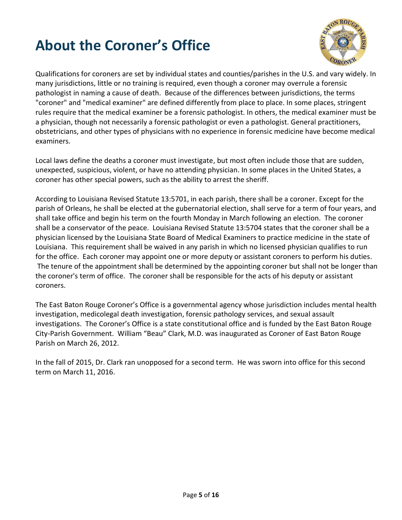# <span id="page-4-0"></span>**About the Coroner's Office**



Qualifications for coroners are set by individual states and counties/parishes in the U.S. and vary widely. In many jurisdictions, little or no training is required, even though a coroner may overrule a forensic pathologist in naming a cause of death. Because of the differences between jurisdictions, the terms "coroner" and "medical examiner" are defined differently from place to place. In some places, stringent rules require that the medical examiner be a forensic pathologist. In others, the medical examiner must be a physician, though not necessarily a forensic pathologist or even a pathologist. General practitioners, obstetricians, and other types of physicians with no experience in forensic medicine have become medical examiners.

Local laws define the deaths a coroner must investigate, but most often include those that are sudden, unexpected, suspicious, violent, or have no attending physician. In some places in the United States, a coroner has other special powers, such as the ability to arrest the sheriff.

According to Louisiana Revised Statute 13:5701, in each parish, there shall be a coroner. Except for the parish of Orleans, he shall be elected at the gubernatorial election, shall serve for a term of four years, and shall take office and begin his term on the fourth Monday in March following an election. The coroner shall be a conservator of the peace. Louisiana Revised Statute 13:5704 states that the coroner shall be a physician licensed by the Louisiana State Board of Medical Examiners to practice medicine in the state of Louisiana. This requirement shall be waived in any parish in which no licensed physician qualifies to run for the office. Each coroner may appoint one or more deputy or assistant coroners to perform his duties. The tenure of the appointment shall be determined by the appointing coroner but shall not be longer than the coroner's term of office. The coroner shall be responsible for the acts of his deputy or assistant coroners.

The East Baton Rouge Coroner's Office is a governmental agency whose jurisdiction includes mental health investigation, medicolegal death investigation, forensic pathology services, and sexual assault investigations. The Coroner's Office is a state constitutional office and is funded by the East Baton Rouge City-Parish Government. William "Beau" Clark, M.D. was inaugurated as Coroner of East Baton Rouge Parish on March 26, 2012.

In the fall of 2015, Dr. Clark ran unopposed for a second term. He was sworn into office for this second term on March 11, 2016.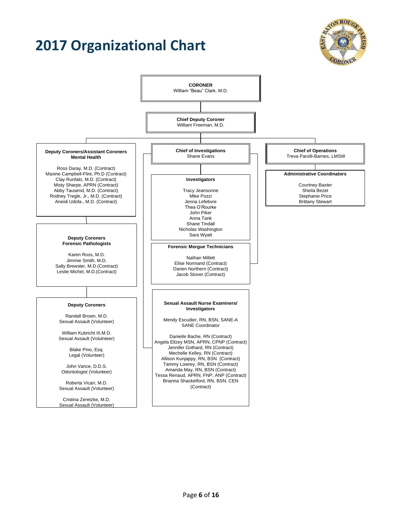# **2017 Organizational Chart**



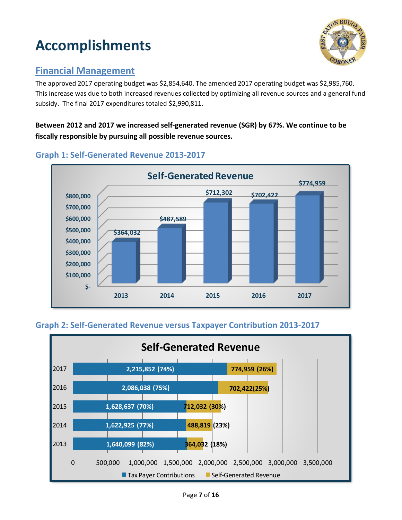# <span id="page-6-0"></span>**Accomplishments**



### <span id="page-6-1"></span>**Financial Management**

The approved 2017 operating budget was \$2,854,640. The amended 2017 operating budget was \$2,985,760. This increase was due to both increased revenues collected by optimizing all revenue sources and a general fund subsidy. The final 2017 expenditures totaled \$2,990,811.

#### **Between 2012 and 2017 we increased self-generated revenue (SGR) by 67%. We continue to be fiscally responsible by pursuing all possible revenue sources.**



#### <span id="page-6-2"></span>**Graph 1: Self-Generated Revenue 2013-2017**

#### <span id="page-6-3"></span>**Graph 2: Self-Generated Revenue versus Taxpayer Contribution 2013-2017**

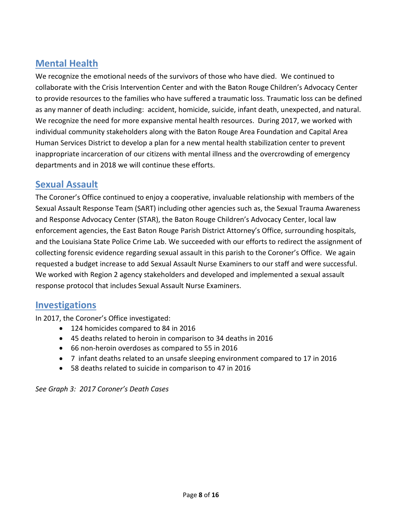### <span id="page-7-0"></span>**Mental Health**

We recognize the emotional needs of the survivors of those who have died. We continued to collaborate with the Crisis Intervention Center and with the Baton Rouge Children's Advocacy Center to provide resources to the families who have suffered a traumatic loss. Traumatic loss can be defined as any manner of death including: accident, homicide, suicide, infant death, unexpected, and natural. We recognize the need for more expansive mental health resources. During 2017, we worked with individual community stakeholders along with the Baton Rouge Area Foundation and Capital Area Human Services District to develop a plan for a new mental health stabilization center to prevent inappropriate incarceration of our citizens with mental illness and the overcrowding of emergency departments and in 2018 we will continue these efforts.

#### <span id="page-7-1"></span>**Sexual Assault**

The Coroner's Office continued to enjoy a cooperative, invaluable relationship with members of the Sexual Assault Response Team (SART) including other agencies such as, the Sexual Trauma Awareness and Response Advocacy Center (STAR), the Baton Rouge Children's Advocacy Center, local law enforcement agencies, the East Baton Rouge Parish District Attorney's Office, surrounding hospitals, and the Louisiana State Police Crime Lab. We succeeded with our efforts to redirect the assignment of collecting forensic evidence regarding sexual assault in this parish to the Coroner's Office. We again requested a budget increase to add Sexual Assault Nurse Examiners to our staff and were successful. We worked with Region 2 agency stakeholders and developed and implemented a sexual assault response protocol that includes Sexual Assault Nurse Examiners.

#### **Investigations**

In 2017, the Coroner's Office investigated:

- <span id="page-7-2"></span>• 124 homicides compared to 84 in 2016
- 45 deaths related to heroin in comparison to 34 deaths in 2016
- 66 non-heroin overdoses as compared to 55 in 2016
- 7 infant deaths related to an unsafe sleeping environment compared to 17 in 2016
- 58 deaths related to suicide in comparison to 47 in 2016

<span id="page-7-3"></span>*See Graph 3: 2017 Coroner's Death Cases*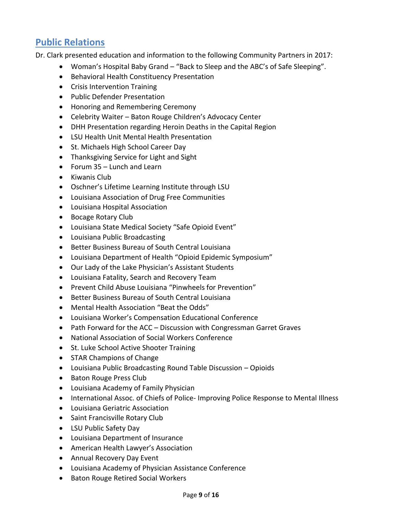### **Public Relations**

Dr. Clark presented education and information to the following Community Partners in 2017:

- Woman's Hospital Baby Grand "Back to Sleep and the ABC's of Safe Sleeping".
- Behavioral Health Constituency Presentation
- Crisis Intervention Training
- Public Defender Presentation
- Honoring and Remembering Ceremony
- Celebrity Waiter Baton Rouge Children's Advocacy Center
- DHH Presentation regarding Heroin Deaths in the Capital Region
- LSU Health Unit Mental Health Presentation
- St. Michaels High School Career Day
- Thanksgiving Service for Light and Sight
- Forum 35 Lunch and Learn
- Kiwanis Club
- Oschner's Lifetime Learning Institute through LSU
- Louisiana Association of Drug Free Communities
- Louisiana Hospital Association
- Bocage Rotary Club
- Louisiana State Medical Society "Safe Opioid Event"
- Louisiana Public Broadcasting
- Better Business Bureau of South Central Louisiana
- Louisiana Department of Health "Opioid Epidemic Symposium"
- Our Lady of the Lake Physician's Assistant Students
- Louisiana Fatality, Search and Recovery Team
- Prevent Child Abuse Louisiana "Pinwheels for Prevention"
- Better Business Bureau of South Central Louisiana
- Mental Health Association "Beat the Odds"
- Louisiana Worker's Compensation Educational Conference
- Path Forward for the ACC Discussion with Congressman Garret Graves
- National Association of Social Workers Conference
- St. Luke School Active Shooter Training
- STAR Champions of Change
- Louisiana Public Broadcasting Round Table Discussion Opioids
- Baton Rouge Press Club
- Louisiana Academy of Family Physician
- International Assoc. of Chiefs of Police- Improving Police Response to Mental Illness
- Louisiana Geriatric Association
- Saint Francisville Rotary Club
- LSU Public Safety Day
- Louisiana Department of Insurance
- American Health Lawyer's Association
- Annual Recovery Day Event
- Louisiana Academy of Physician Assistance Conference
- Baton Rouge Retired Social Workers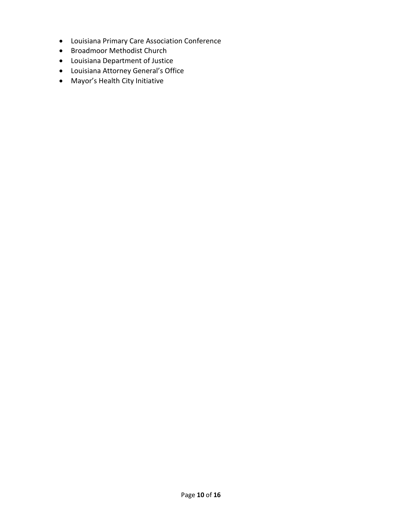- Louisiana Primary Care Association Conference
- Broadmoor Methodist Church
- Louisiana Department of Justice
- Louisiana Attorney General's Office
- Mayor's Health City Initiative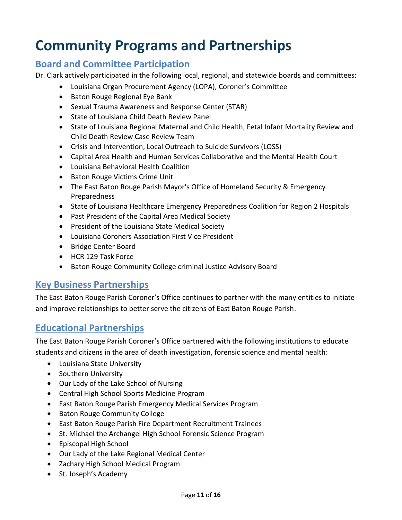## <span id="page-10-0"></span>**Community Programs and Partnerships**

### <span id="page-10-1"></span>**Board and Committee Participation**

Dr. Clark actively participated in the following local, regional, and statewide boards and committees:

- Louisiana Organ Procurement Agency (LOPA), Coroner's Committee
- Baton Rouge Regional Eye Bank
- Sexual Trauma Awareness and Response Center (STAR)
- State of Louisiana Child Death Review Panel
- State of Louisiana Regional Maternal and Child Health, Fetal Infant Mortality Review and Child Death Review Case Review Team
- Crisis and Intervention, Local Outreach to Suicide Survivors (LOSS)
- Capital Area Health and Human Services Collaborative and the Mental Health Court
- Louisiana Behavioral Health Coalition
- Baton Rouge Victims Crime Unit
- The East Baton Rouge Parish Mayor's Office of Homeland Security & Emergency Preparedness
- State of Louisiana Healthcare Emergency Preparedness Coalition for Region 2 Hospitals
- Past President of the Capital Area Medical Society
- President of the Louisiana State Medical Society
- Louisiana Coroners Association First Vice President
- Bridge Center Board
- HCR 129 Task Force
- Baton Rouge Community College criminal Justice Advisory Board

### <span id="page-10-2"></span>**Key Business Partnerships**

The East Baton Rouge Parish Coroner's Office continues to partner with the many entities to initiate and improve relationships to better serve the citizens of East Baton Rouge Parish.

### <span id="page-10-3"></span>**Educational Partnerships**

The East Baton Rouge Parish Coroner's Office partnered with the following institutions to educate students and citizens in the area of death investigation, forensic science and mental health:

- Louisiana State University
- Southern University
- Our Lady of the Lake School of Nursing
- Central High School Sports Medicine Program
- East Baton Rouge Parish Emergency Medical Services Program
- Baton Rouge Community College
- East Baton Rouge Parish Fire Department Recruitment Trainees
- St. Michael the Archangel High School Forensic Science Program
- Episcopal High School
- Our Lady of the Lake Regional Medical Center
- Zachary High School Medical Program
- St. Joseph's Academy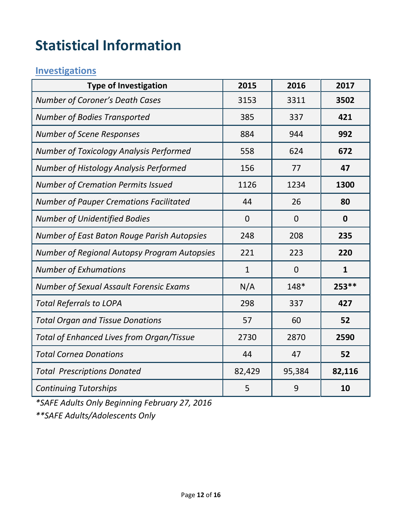# <span id="page-11-0"></span>**Statistical Information**

### <span id="page-11-1"></span>**Investigations**

| <b>Type of Investigation</b>                        | 2015           | 2016           | 2017         |
|-----------------------------------------------------|----------------|----------------|--------------|
| Number of Coroner's Death Cases                     | 3153           | 3311           | 3502         |
| <b>Number of Bodies Transported</b>                 | 385            | 337            | 421          |
| <b>Number of Scene Responses</b>                    | 884            | 944            | 992          |
| Number of Toxicology Analysis Performed             | 558            | 624            | 672          |
| Number of Histology Analysis Performed              | 156            | 77             | 47           |
| <b>Number of Cremation Permits Issued</b>           | 1126           | 1234           | 1300         |
| <b>Number of Pauper Cremations Facilitated</b>      | 44             | 26             | 80           |
| <b>Number of Unidentified Bodies</b>                | $\overline{0}$ | $\overline{0}$ | $\mathbf 0$  |
| Number of East Baton Rouge Parish Autopsies         | 248            | 208            | 235          |
| <b>Number of Regional Autopsy Program Autopsies</b> | 221            | 223            | 220          |
| <b>Number of Exhumations</b>                        | $\mathbf{1}$   | $\overline{0}$ | $\mathbf{1}$ |
| Number of Sexual Assault Forensic Exams             | N/A            | 148*           | 253 **       |
| <b>Total Referrals to LOPA</b>                      | 298            | 337            | 427          |
| <b>Total Organ and Tissue Donations</b>             | 57             | 60             | 52           |
| Total of Enhanced Lives from Organ/Tissue           | 2730           | 2870           | 2590         |
| <b>Total Cornea Donations</b>                       | 44             | 47             | 52           |
| <b>Total Prescriptions Donated</b>                  | 82,429         | 95,384         | 82,116       |
| <b>Continuing Tutorships</b>                        | 5              | 9              | 10           |

*\*SAFE Adults Only Beginning February 27, 2016*

*\*\*SAFE Adults/Adolescents Only*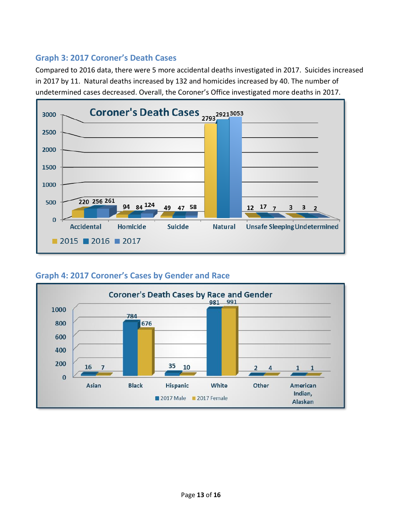#### <span id="page-12-0"></span>**Graph 3: 2017 Coroner's Death Cases**

Compared to 2016 data, there were 5 more accidental deaths investigated in 2017. Suicides increased in 2017 by 11. Natural deaths increased by 132 and homicides increased by 40. The number of undetermined cases decreased. Overall, the Coroner's Office investigated more deaths in 2017.



#### <span id="page-12-1"></span>**Graph 4: 2017 Coroner's Cases by Gender and Race**

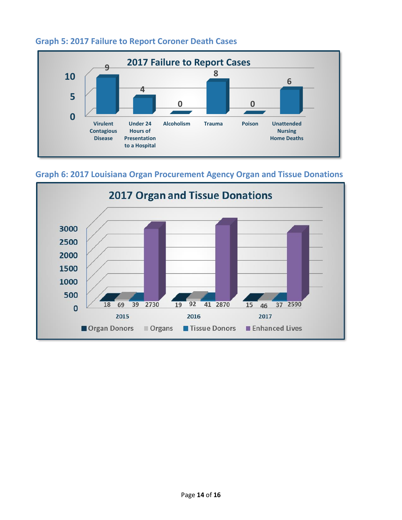

#### <span id="page-13-0"></span>**Graph 5: 2017 Failure to Report Coroner Death Cases**

<span id="page-13-1"></span>**Graph 6: 2017 Louisiana Organ Procurement Agency Organ and Tissue Donations**

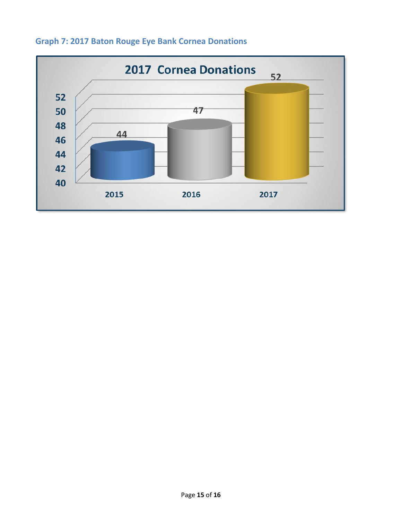

### <span id="page-14-0"></span>**Graph 7: 2017 Baton Rouge Eye Bank Cornea Donations**